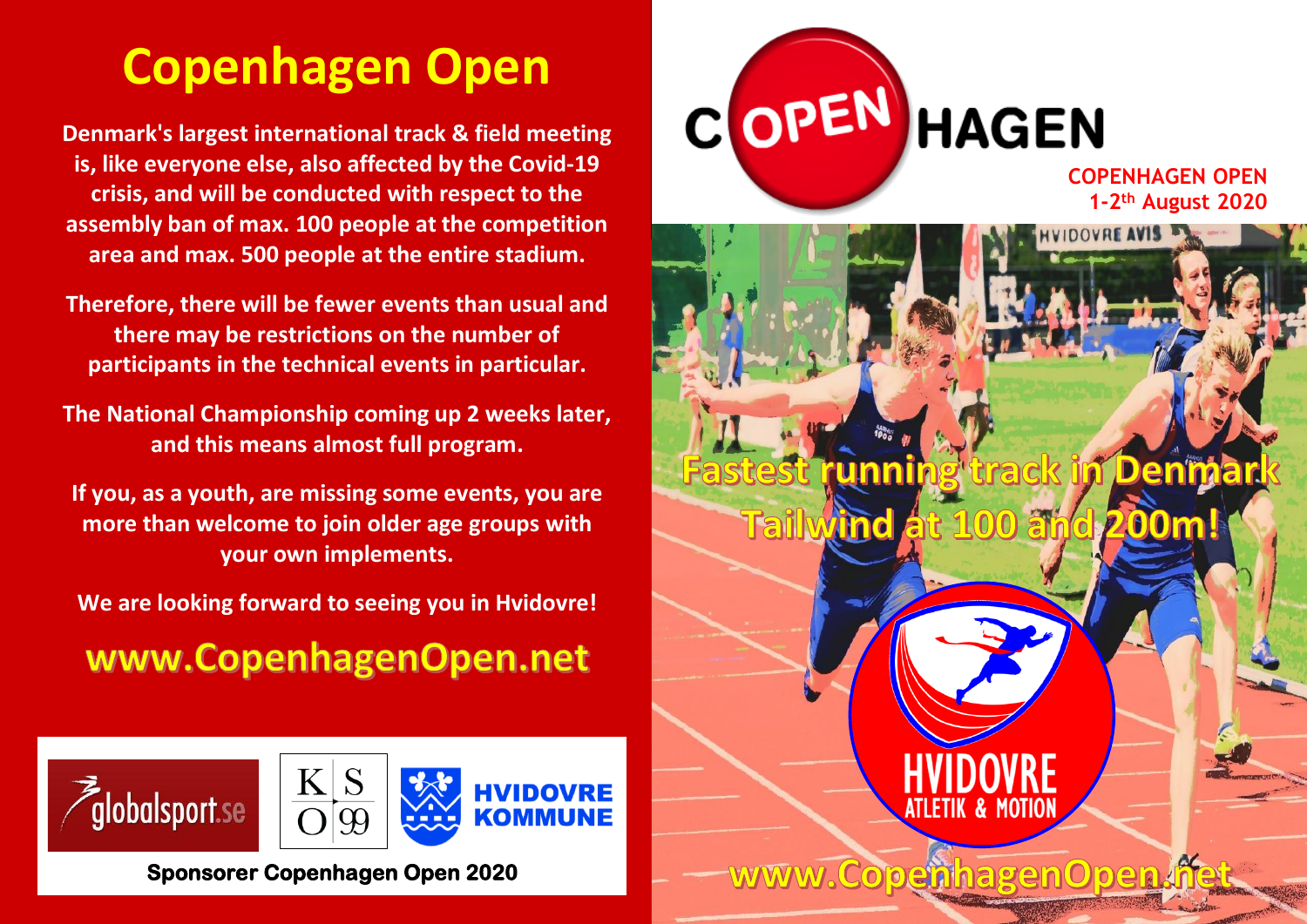# **Copenhagen Open**

**Denmark's largest international track & field meeting is, like everyone else, also affected by the Covid-19 crisis, and will be conducted with respect to the assembly ban of max. 100 people at the competition area and max. 500 people at the entire stadium.**

**Therefore, there will be fewer events than usual and there may be restrictions on the number of participants in the technical events in particular.**

**The National Championship coming up 2 weeks later, and this means almost full program.**

**If you, as a youth, are missing some events, you are more than welcome to join older age groups with your own implements.**

**We are looking forward to seeing you in Hvidovre!**

www.CopenhagenOpen.net







**Sponsorer Copenhagen Open 2020** 



**COPENHAGEN OPEN 1-2 th August 2020**